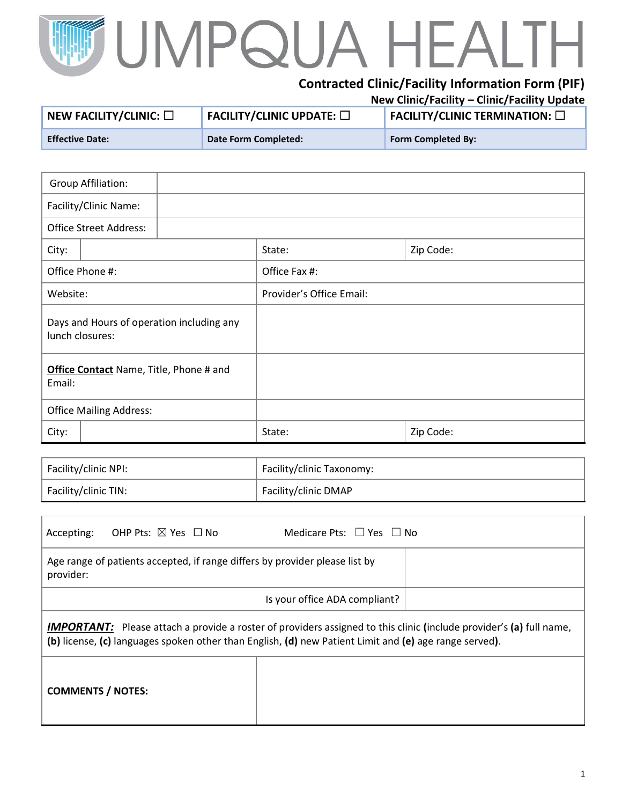## UMPQUA HEAI  $\overline{\phantom{0}}$

## **Contracted Clinic/Facility Information Form (PIF) New Clinic/Facility – Clinic/Facility Update**

|                                           |                                                         | $11211$ control to children and the control operator |
|-------------------------------------------|---------------------------------------------------------|------------------------------------------------------|
| $^{\text{!}}$ NEW FACILITY/CLINIC: $\Box$ | $\overline{\phantom{a}}$ FACILITY/CLINIC UPDATE: $\Box$ | $\mid$ FACILITY/CLINIC TERMINATION: $\Box$           |
| <b>Effective Date:</b>                    | Date Form Completed:                                    | <b>Form Completed By:</b>                            |

| <b>Group Affiliation:</b>                                    |                          |           |  |
|--------------------------------------------------------------|--------------------------|-----------|--|
| Facility/Clinic Name:                                        |                          |           |  |
| <b>Office Street Address:</b>                                |                          |           |  |
| City:                                                        | State:                   | Zip Code: |  |
| Office Phone #:                                              | Office Fax #:            |           |  |
| Website:                                                     | Provider's Office Email: |           |  |
| Days and Hours of operation including any<br>lunch closures: |                          |           |  |
| Office Contact Name, Title, Phone # and<br>Email:            |                          |           |  |
| <b>Office Mailing Address:</b>                               |                          |           |  |
| City:                                                        | State:                   | Zip Code: |  |

| Facility/clinic NPI: | Facility/clinic Taxonomy: |
|----------------------|---------------------------|
| Facility/clinic TIN: | Facility/clinic DMAP      |

| OHP Pts: $\boxtimes$ Yes $\;\Box$ No<br>Accepting:                                                                                                                                                                                   | Medicare Pts: $\Box$ Yes $\Box$ No |  |  |  |
|--------------------------------------------------------------------------------------------------------------------------------------------------------------------------------------------------------------------------------------|------------------------------------|--|--|--|
| Age range of patients accepted, if range differs by provider please list by<br>provider:                                                                                                                                             |                                    |  |  |  |
| Is your office ADA compliant?                                                                                                                                                                                                        |                                    |  |  |  |
| <b>IMPORTANT:</b> Please attach a provide a roster of providers assigned to this clinic (include provider's (a) full name,<br>(b) license, (c) languages spoken other than English, (d) new Patient Limit and (e) age range served). |                                    |  |  |  |
| <b>COMMENTS / NOTES:</b>                                                                                                                                                                                                             |                                    |  |  |  |